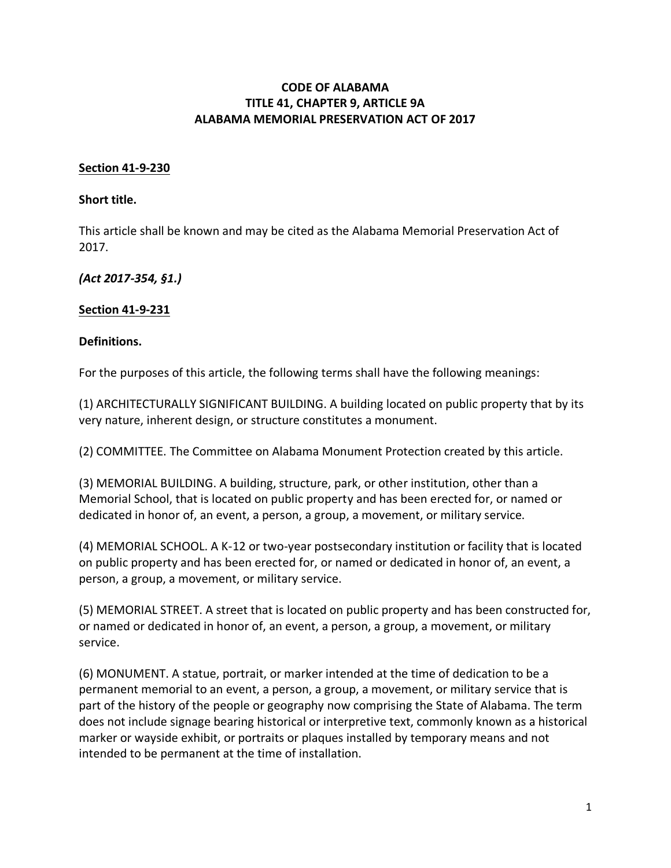### **CODE OF ALABAMA TITLE 41, CHAPTER 9, ARTICLE 9A ALABAMA MEMORIAL PRESERVATION ACT OF 2017**

#### **Section 41-9-230**

#### **Short title.**

This article shall be known and may be cited as the Alabama Memorial Preservation Act of 2017.

*(Act 2017-354, §1.)*

#### **Section 41-9-231**

#### **Definitions.**

For the purposes of this article, the following terms shall have the following meanings:

(1) ARCHITECTURALLY SIGNIFICANT BUILDING. A building located on public property that by its very nature, inherent design, or structure constitutes a monument.

(2) COMMITTEE. The Committee on Alabama Monument Protection created by this article.

(3) MEMORIAL BUILDING. A building, structure, park, or other institution, other than a Memorial School, that is located on public property and has been erected for, or named or dedicated in honor of, an event, a person, a group, a movement, or military service.

(4) MEMORIAL SCHOOL. A K-12 or two-year postsecondary institution or facility that is located on public property and has been erected for, or named or dedicated in honor of, an event, a person, a group, a movement, or military service.

(5) MEMORIAL STREET. A street that is located on public property and has been constructed for, or named or dedicated in honor of, an event, a person, a group, a movement, or military service.

(6) MONUMENT. A statue, portrait, or marker intended at the time of dedication to be a permanent memorial to an event, a person, a group, a movement, or military service that is part of the history of the people or geography now comprising the State of Alabama. The term does not include signage bearing historical or interpretive text, commonly known as a historical marker or wayside exhibit, or portraits or plaques installed by temporary means and not intended to be permanent at the time of installation.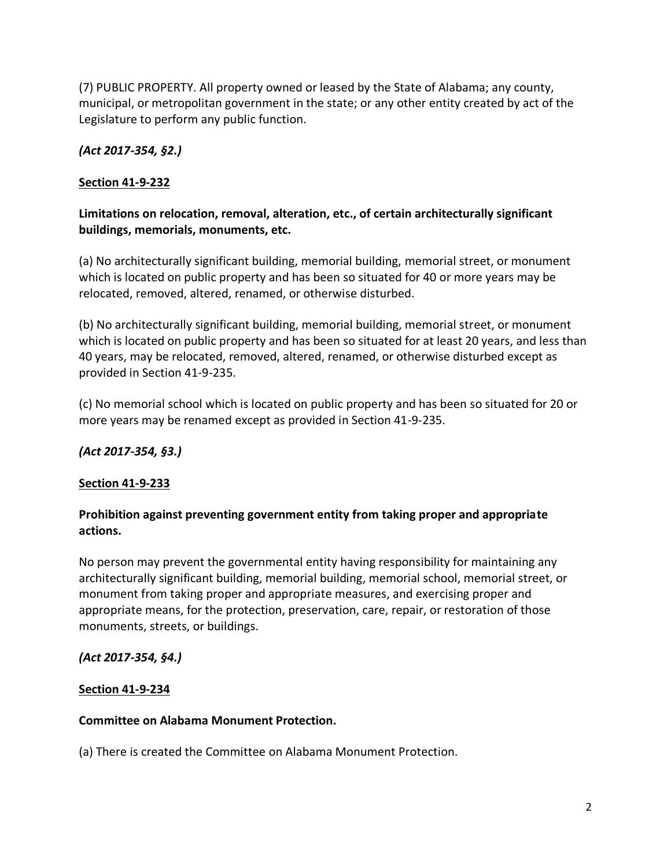(7) PUBLIC PROPERTY. All property owned or leased by the State of Alabama; any county, municipal, or metropolitan government in the state; or any other entity created by act of the Legislature to perform any public function.

# *(Act 2017-354, §2.)*

## **Section 41-9-232**

## **Limitations on relocation, removal, alteration, etc., of certain architecturally significant buildings, memorials, monuments, etc.**

(a) No architecturally significant building, memorial building, memorial street, or monument which is located on public property and has been so situated for 40 or more years may be relocated, removed, altered, renamed, or otherwise disturbed.

(b) No architecturally significant building, memorial building, memorial street, or monument which is located on public property and has been so situated for at least 20 years, and less than 40 years, may be relocated, removed, altered, renamed, or otherwise disturbed except as provided in Section 41-9-235.

(c) No memorial school which is located on public property and has been so situated for 20 or more years may be renamed except as provided in Section 41-9-235.

### *(Act 2017-354, §3.)*

### **Section 41-9-233**

## **Prohibition against preventing government entity from taking proper and appropriate actions.**

No person may prevent the governmental entity having responsibility for maintaining any architecturally significant building, memorial building, memorial school, memorial street, or monument from taking proper and appropriate measures, and exercising proper and appropriate means, for the protection, preservation, care, repair, or restoration of those monuments, streets, or buildings.

### *(Act 2017-354, §4.)*

### **Section 41-9-234**

### **Committee on Alabama Monument Protection.**

(a) There is created the Committee on Alabama Monument Protection.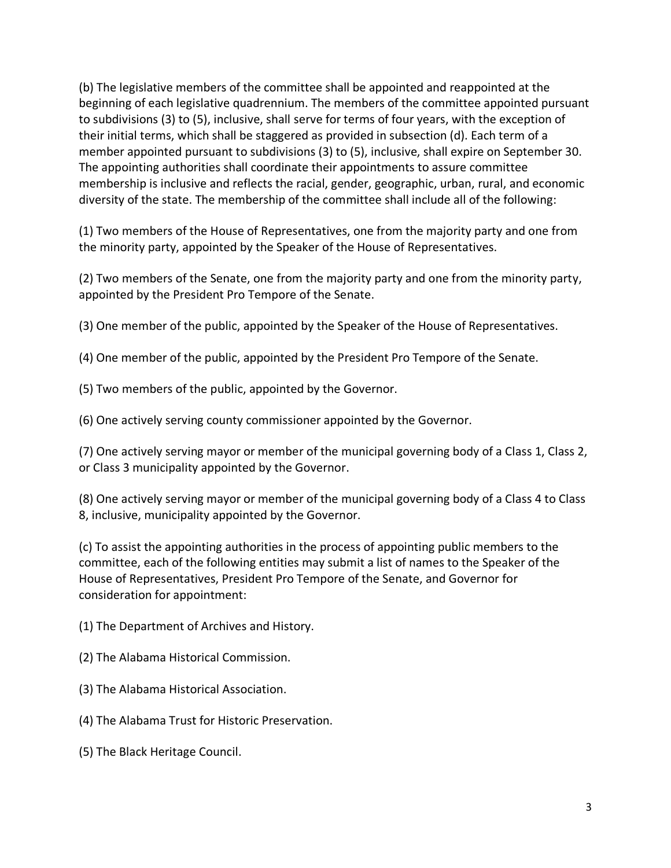(b) The legislative members of the committee shall be appointed and reappointed at the beginning of each legislative quadrennium. The members of the committee appointed pursuant to subdivisions (3) to (5), inclusive, shall serve for terms of four years, with the exception of their initial terms, which shall be staggered as provided in subsection (d). Each term of a member appointed pursuant to subdivisions (3) to (5), inclusive, shall expire on September 30. The appointing authorities shall coordinate their appointments to assure committee membership is inclusive and reflects the racial, gender, geographic, urban, rural, and economic diversity of the state. The membership of the committee shall include all of the following:

(1) Two members of the House of Representatives, one from the majority party and one from the minority party, appointed by the Speaker of the House of Representatives.

(2) Two members of the Senate, one from the majority party and one from the minority party, appointed by the President Pro Tempore of the Senate.

(3) One member of the public, appointed by the Speaker of the House of Representatives.

(4) One member of the public, appointed by the President Pro Tempore of the Senate.

(5) Two members of the public, appointed by the Governor.

(6) One actively serving county commissioner appointed by the Governor.

(7) One actively serving mayor or member of the municipal governing body of a Class 1, Class 2, or Class 3 municipality appointed by the Governor.

(8) One actively serving mayor or member of the municipal governing body of a Class 4 to Class 8, inclusive, municipality appointed by the Governor.

(c) To assist the appointing authorities in the process of appointing public members to the committee, each of the following entities may submit a list of names to the Speaker of the House of Representatives, President Pro Tempore of the Senate, and Governor for consideration for appointment:

(1) The Department of Archives and History.

- (2) The Alabama Historical Commission.
- (3) The Alabama Historical Association.
- (4) The Alabama Trust for Historic Preservation.
- (5) The Black Heritage Council.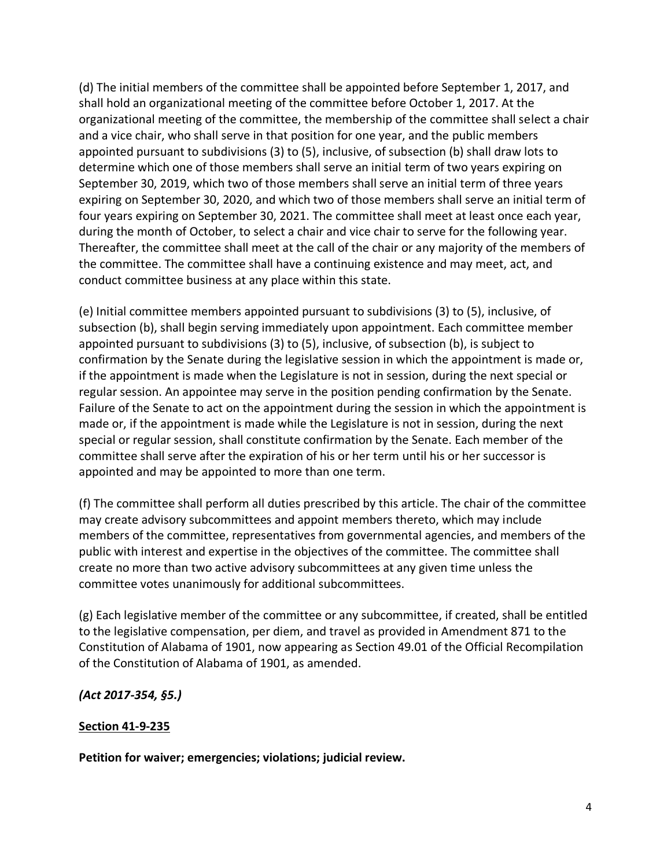(d) The initial members of the committee shall be appointed before September 1, 2017, and shall hold an organizational meeting of the committee before October 1, 2017. At the organizational meeting of the committee, the membership of the committee shall select a chair and a vice chair, who shall serve in that position for one year, and the public members appointed pursuant to subdivisions (3) to (5), inclusive, of subsection (b) shall draw lots to determine which one of those members shall serve an initial term of two years expiring on September 30, 2019, which two of those members shall serve an initial term of three years expiring on September 30, 2020, and which two of those members shall serve an initial term of four years expiring on September 30, 2021. The committee shall meet at least once each year, during the month of October, to select a chair and vice chair to serve for the following year. Thereafter, the committee shall meet at the call of the chair or any majority of the members of the committee. The committee shall have a continuing existence and may meet, act, and conduct committee business at any place within this state.

(e) Initial committee members appointed pursuant to subdivisions (3) to (5), inclusive, of subsection (b), shall begin serving immediately upon appointment. Each committee member appointed pursuant to subdivisions (3) to (5), inclusive, of subsection (b), is subject to confirmation by the Senate during the legislative session in which the appointment is made or, if the appointment is made when the Legislature is not in session, during the next special or regular session. An appointee may serve in the position pending confirmation by the Senate. Failure of the Senate to act on the appointment during the session in which the appointment is made or, if the appointment is made while the Legislature is not in session, during the next special or regular session, shall constitute confirmation by the Senate. Each member of the committee shall serve after the expiration of his or her term until his or her successor is appointed and may be appointed to more than one term.

(f) The committee shall perform all duties prescribed by this article. The chair of the committee may create advisory subcommittees and appoint members thereto, which may include members of the committee, representatives from governmental agencies, and members of the public with interest and expertise in the objectives of the committee. The committee shall create no more than two active advisory subcommittees at any given time unless the committee votes unanimously for additional subcommittees.

(g) Each legislative member of the committee or any subcommittee, if created, shall be entitled to the legislative compensation, per diem, and travel as provided in Amendment 871 to the Constitution of Alabama of 1901, now appearing as Section 49.01 of the Official Recompilation of the Constitution of Alabama of 1901, as amended.

*(Act 2017-354, §5.)*

### **Section 41-9-235**

**Petition for waiver; emergencies; violations; judicial review.**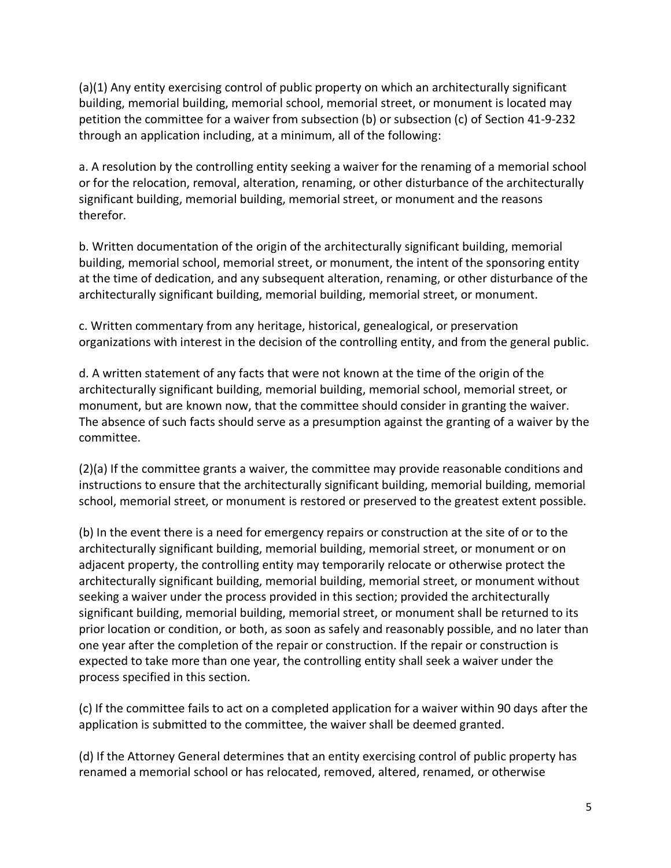(a)(1) Any entity exercising control of public property on which an architecturally significant building, memorial building, memorial school, memorial street, or monument is located may petition the committee for a waiver from subsection (b) or subsection (c) of Section 41-9-232 through an application including, at a minimum, all of the following:

a. A resolution by the controlling entity seeking a waiver for the renaming of a memorial school or for the relocation, removal, alteration, renaming, or other disturbance of the architecturally significant building, memorial building, memorial street, or monument and the reasons therefor.

b. Written documentation of the origin of the architecturally significant building, memorial building, memorial school, memorial street, or monument, the intent of the sponsoring entity at the time of dedication, and any subsequent alteration, renaming, or other disturbance of the architecturally significant building, memorial building, memorial street, or monument.

c. Written commentary from any heritage, historical, genealogical, or preservation organizations with interest in the decision of the controlling entity, and from the general public.

d. A written statement of any facts that were not known at the time of the origin of the architecturally significant building, memorial building, memorial school, memorial street, or monument, but are known now, that the committee should consider in granting the waiver. The absence of such facts should serve as a presumption against the granting of a waiver by the committee.

(2)(a) If the committee grants a waiver, the committee may provide reasonable conditions and instructions to ensure that the architecturally significant building, memorial building, memorial school, memorial street, or monument is restored or preserved to the greatest extent possible.

(b) In the event there is a need for emergency repairs or construction at the site of or to the architecturally significant building, memorial building, memorial street, or monument or on adjacent property, the controlling entity may temporarily relocate or otherwise protect the architecturally significant building, memorial building, memorial street, or monument without seeking a waiver under the process provided in this section; provided the architecturally significant building, memorial building, memorial street, or monument shall be returned to its prior location or condition, or both, as soon as safely and reasonably possible, and no later than one year after the completion of the repair or construction. If the repair or construction is expected to take more than one year, the controlling entity shall seek a waiver under the process specified in this section.

(c) If the committee fails to act on a completed application for a waiver within 90 days after the application is submitted to the committee, the waiver shall be deemed granted.

(d) If the Attorney General determines that an entity exercising control of public property has renamed a memorial school or has relocated, removed, altered, renamed, or otherwise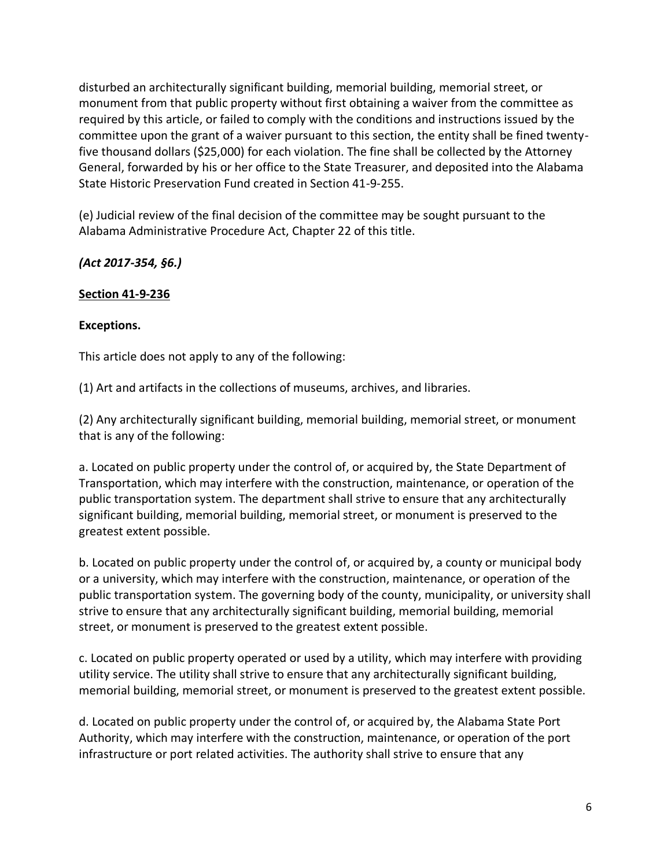disturbed an architecturally significant building, memorial building, memorial street, or monument from that public property without first obtaining a waiver from the committee as required by this article, or failed to comply with the conditions and instructions issued by the committee upon the grant of a waiver pursuant to this section, the entity shall be fined twentyfive thousand dollars (\$25,000) for each violation. The fine shall be collected by the Attorney General, forwarded by his or her office to the State Treasurer, and deposited into the Alabama State Historic Preservation Fund created in Section 41-9-255.

(e) Judicial review of the final decision of the committee may be sought pursuant to the Alabama Administrative Procedure Act, Chapter 22 of this title.

*(Act 2017-354, §6.)*

## **Section 41-9-236**

## **Exceptions.**

This article does not apply to any of the following:

(1) Art and artifacts in the collections of museums, archives, and libraries.

(2) Any architecturally significant building, memorial building, memorial street, or monument that is any of the following:

a. Located on public property under the control of, or acquired by, the State Department of Transportation, which may interfere with the construction, maintenance, or operation of the public transportation system. The department shall strive to ensure that any architecturally significant building, memorial building, memorial street, or monument is preserved to the greatest extent possible.

b. Located on public property under the control of, or acquired by, a county or municipal body or a university, which may interfere with the construction, maintenance, or operation of the public transportation system. The governing body of the county, municipality, or university shall strive to ensure that any architecturally significant building, memorial building, memorial street, or monument is preserved to the greatest extent possible.

c. Located on public property operated or used by a utility, which may interfere with providing utility service. The utility shall strive to ensure that any architecturally significant building, memorial building, memorial street, or monument is preserved to the greatest extent possible.

d. Located on public property under the control of, or acquired by, the Alabama State Port Authority, which may interfere with the construction, maintenance, or operation of the port infrastructure or port related activities. The authority shall strive to ensure that any